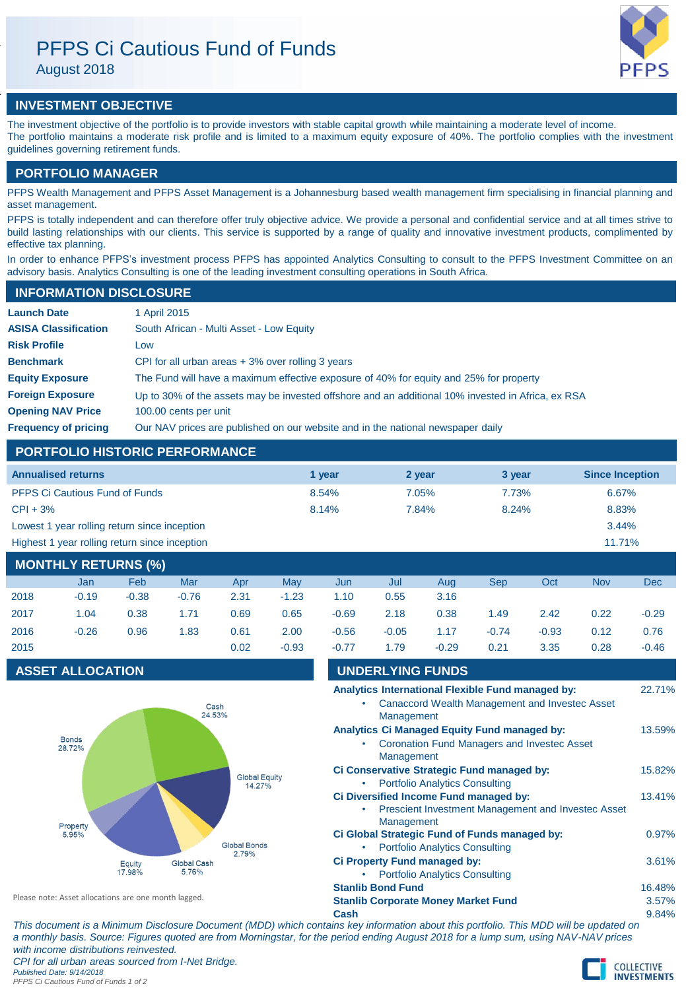# PFPS Ci Cautious Fund of Funds

August 2018



## **INVESTMENT OBJECTIVE**

The investment objective of the portfolio is to provide investors with stable capital growth while maintaining a moderate level of income. The portfolio maintains a moderate risk profile and is limited to a maximum equity exposure of 40%. The portfolio complies with the investment guidelines governing retirement funds.

## **PORTFOLIO MANAGER**

PFPS Wealth Management and PFPS Asset Management is a Johannesburg based wealth management firm specialising in financial planning and asset management.

PFPS is totally independent and can therefore offer truly objective advice. We provide a personal and confidential service and at all times strive to build lasting relationships with our clients. This service is supported by a range of quality and innovative investment products, complimented by effective tax planning.

In order to enhance PFPS's investment process PFPS has appointed Analytics Consulting to consult to the PFPS Investment Committee on an advisory basis. Analytics Consulting is one of the leading investment consulting operations in South Africa.

## **INFORMATION DISCLOSURE**

| <b>Launch Date</b>          | 1 April 2015                                                                                      |
|-----------------------------|---------------------------------------------------------------------------------------------------|
| <b>ASISA Classification</b> | South African - Multi Asset - Low Equity                                                          |
| <b>Risk Profile</b>         | Low                                                                                               |
| <b>Benchmark</b>            | CPI for all urban areas $+3\%$ over rolling 3 years                                               |
| <b>Equity Exposure</b>      | The Fund will have a maximum effective exposure of 40% for equity and 25% for property            |
| <b>Foreign Exposure</b>     | Up to 30% of the assets may be invested offshore and an additional 10% invested in Africa, ex RSA |
| <b>Opening NAV Price</b>    | 100.00 cents per unit                                                                             |
| <b>Frequency of pricing</b> | Our NAV prices are published on our website and in the national newspaper daily                   |

## **PORTFOLIO HISTORIC PERFORMANCE**

| <b>Annualised returns</b>                     | 1 year | 2 year | 3 year | <b>Since Inception</b> |
|-----------------------------------------------|--------|--------|--------|------------------------|
| <b>PFPS Ci Cautious Fund of Funds</b>         | 8.54%  | 7.05%  | 7.73%  | 6.67%                  |
| $CPI + 3%$                                    | 8.14%  | 7.84%  | 8.24%  | 8.83%                  |
| Lowest 1 year rolling return since inception  |        |        |        | 3.44%                  |
| Highest 1 year rolling return since inception |        |        |        | 11.71%                 |
|                                               |        |        |        |                        |

| <b>MONTHLY RETURNS (%)</b> |         |         |         |      |         |         |         |         |         |         |            |         |
|----------------------------|---------|---------|---------|------|---------|---------|---------|---------|---------|---------|------------|---------|
|                            | Jan     | Feb     | Mar     | Apr  | May     | Jun     | Jul     | Aug     | Sep     | Oct     | <b>Nov</b> | Dec     |
| 2018                       | $-0.19$ | $-0.38$ | $-0.76$ | 2.31 | $-1.23$ | 1.10    | 0.55    | 3.16    |         |         |            |         |
| 2017                       | 1.04    | 0.38    | 1.71    | 0.69 | 0.65    | $-0.69$ | 2.18    | 0.38    | 1.49    | 2.42    | 0.22       | $-0.29$ |
| 2016                       | $-0.26$ | 0.96    | 1.83    | 0.61 | 2.00    | $-0.56$ | $-0.05$ | 1.17    | $-0.74$ | $-0.93$ | 0.12       | 0.76    |
| 2015                       |         |         |         | 0.02 | $-0.93$ | $-0.77$ | 1.79    | $-0.29$ | 0.21    | 3.35    | 0.28       | $-0.46$ |

Management

Management

**Management** 

• Portfolio Analytics Consulting

• Portfolio Analytics Consulting

• Portfolio Analytics Consulting

## **ASSET ALLOCATION UNDERLYING FUNDS**



| Please note: Asset allocations are one month lagged. |  |
|------------------------------------------------------|--|
|------------------------------------------------------|--|

**Stanlib Corporate Money Market Fund** 3.57%

**Cash** 9.84% *This document is a Minimum Disclosure Document (MDD) which contains key information about this portfolio. This MDD will be updated on a monthly basis. Source: Figures quoted are from Morningstar, for the period ending August 2018 for a lump sum, using NAV-NAV prices with income distributions reinvested. CPI for all urban areas sourced from I-Net Bridge. Published Date: 9/14/2018*



**Analytics International Flexible Fund managed by:** 22.71% • Canaccord Wealth Management and Investec Asset

Analytics Ci Managed Equity Fund managed by: 13.59% • Coronation Fund Managers and Investec Asset

**Ci Conservative Strategic Fund managed by:** 15.82%

**Ci Diversified Income Fund managed by:** 13.41% • Prescient Investment Management and Investec Asset

**Ci Global Strategic Fund of Funds managed by:** 0.97%

**Ci Property Fund managed by:** 3.61%

**Stanlib Bond Fund** 16.48%